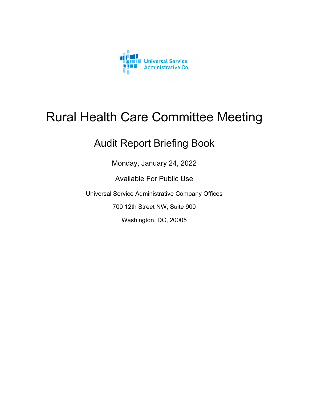

# Rural Health Care Committee Meeting

# Audit Report Briefing Book

Monday, January 24, 2022

Available For Public Use

Universal Service Administrative Company Offices

700 12th Street NW, Suite 900

Washington, DC, 20005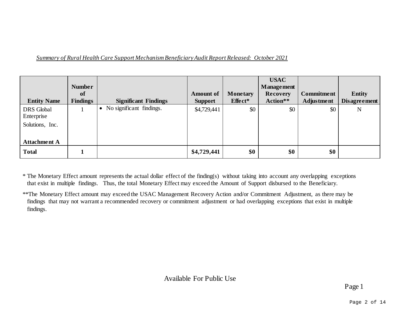| <b>Entity Name</b>                                 | <b>Number</b><br>of<br><b>Findings</b> | <b>Significant Findings</b> | <b>Amount of</b><br><b>Support</b> | <b>Monetary</b><br>Effect* | <b>USAC</b><br><b>Management</b><br><b>Recovery</b><br>Action** | <b>Commitment</b><br><b>Adjustment</b> | <b>Entity</b><br><b>Disagreement</b> |
|----------------------------------------------------|----------------------------------------|-----------------------------|------------------------------------|----------------------------|-----------------------------------------------------------------|----------------------------------------|--------------------------------------|
| <b>DRS</b> Global<br>Enterprise<br>Solutions, Inc. |                                        | No significant findings.    | \$4,729,441                        | \$0                        | \$0                                                             | \$0                                    | N                                    |
| <b>Attachment A</b>                                |                                        |                             |                                    |                            |                                                                 |                                        |                                      |
| <b>Total</b>                                       |                                        |                             | \$4,729,441                        | \$0                        | \$0                                                             | \$0                                    |                                      |

\* The Monetary Effect amount represents the actual dollar effect of the finding(s) without taking into account any overlapping exceptions that exist in multiple findings. Thus, the total Monetary Effect may exceed the Amount of Support disbursed to the Beneficiary.

<sup>\*\*</sup>The Monetary Effect amount may exceed the USAC Management Recovery Action and/or Commitment Adjustment, as there may be findings that may not warrant a recommended recovery or commitment adjustment or had overlapping exceptions that exist in multiple findings.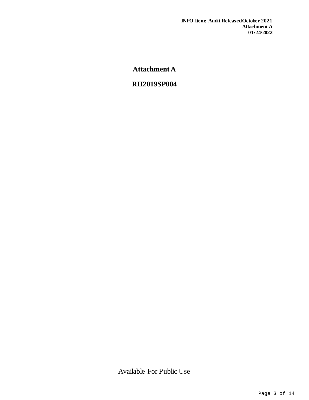**Attachment A** 

# **RH2019SP004**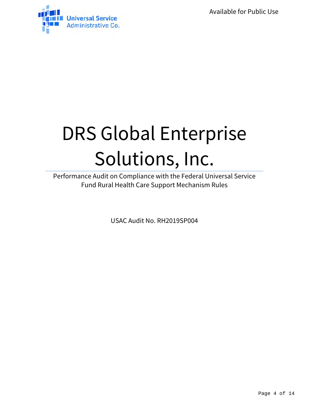Available for Public Use



# DRS Global Enterprise Solutions, Inc.

Performance Audit on Compliance with the Federal Universal Service Fund Rural Health Care Support Mechanism Rules

USAC Audit No. RH2019SP004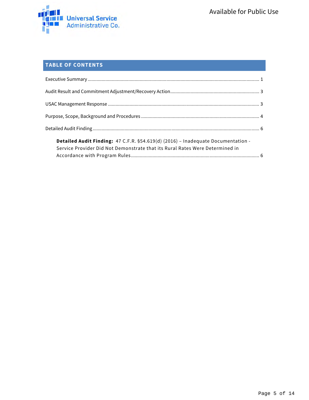

## **TABLE OF CONTENTS**

| Detailed Audit Finding: 47 C.F.R. §54.619(d) (2016) - Inadequate Documentation - |  |
|----------------------------------------------------------------------------------|--|
| Service Provider Did Not Demonstrate that its Rural Rates Were Determined in     |  |
|                                                                                  |  |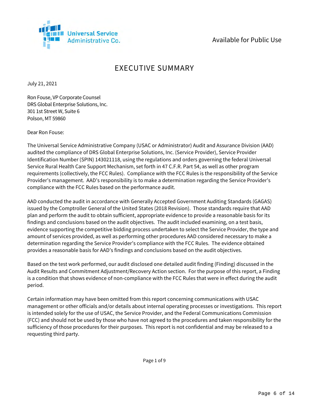

## Available for Public Use

# EXECUTIVE SUMMARY

July 21, 2021

Ron Fouse, VP Corporate Counsel DRS Global Enterprise Solutions, Inc. 301 1st Street W, Suite 6 Polson, MT 59860

Dear Ron Fouse:

The Universal Service Administrative Company (USAC or Administrator) Audit and Assurance Division (AAD) audited the compliance of DRS Global Enterprise Solutions, Inc. (Service Provider), Service Provider Identification Number (SPIN) 143021118, using the regulations and orders governing the federal Universal Service Rural Health Care Support Mechanism, set forth in 47 C.F.R. Part 54, as well as other program requirements (collectively, the FCC Rules). Compliance with the FCC Rules is the responsibility of the Service Provider's management. AAD's responsibility is to make a determination regarding the Service Provider's compliance with the FCC Rules based on the performance audit.

AAD conducted the audit in accordance with Generally Accepted Government Auditing Standards (GAGAS) issued by the Comptroller General of the United States (2018 Revision). Those standards require that AAD plan and perform the audit to obtain sufficient, appropriate evidence to provide a reasonable basis for its findings and conclusions based on the audit objectives. The audit included examining, on a test basis, evidence supporting the competitive bidding process undertaken to select the Service Provider, the type and amount of services provided, as well as performing other procedures AAD considered necessary to make a determination regarding the Service Provider's compliance with the FCC Rules. The evidence obtained provides a reasonable basis for AAD's findings and conclusions based on the audit objectives.

Based on the test work performed, our audit disclosed one detailed audit finding (Finding) discussed in the Audit Results and Commitment Adjustment/Recovery Action section. For the purpose of this report, a Finding is a condition that shows evidence of non-compliance with the FCC Rules that were in effect during the audit period.

Certain information may have been omitted from this report concerning communications with USAC management or other officials and/or details about internal operating processes or investigations. This report is intended solely for the use of USAC, the Service Provider, and the Federal Communications Commission (FCC) and should not be used by those who have not agreed to the procedures and taken responsibility for the sufficiency of those procedures for their purposes. This report is not confidential and may be released to a requesting third party.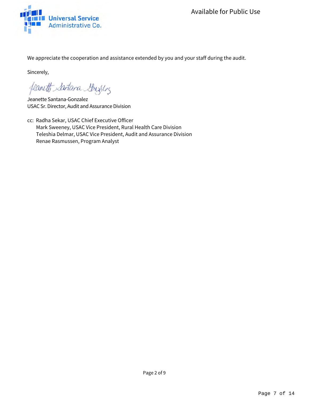We appreciate the cooperation and assistance extended by you and your staff during the audit.

Sincerely,

feanett Santara Strighton

Jeanette Santana-Gonzalez USAC Sr. Director, Audit and Assurance Division

cc: Radha Sekar, USAC Chief Executive Officer Mark Sweeney, USAC Vice President, Rural Health Care Division Teleshia Delmar, USAC Vice President, Audit and Assurance Division Renae Rasmussen, Program Analyst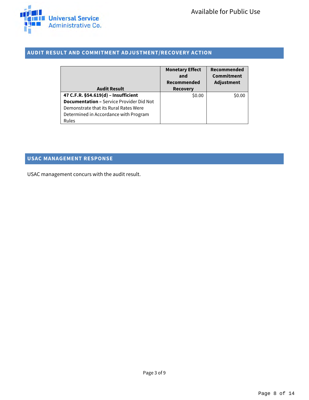#### **AUDIT RESULT AND COMMITMENT ADJUSTMENT/RECOVERY ACTION**

|                                                 | <b>Monetary Effect</b><br>and | Recommended<br>Commitment |
|-------------------------------------------------|-------------------------------|---------------------------|
|                                                 | Recommended                   | Adjustment                |
| <b>Audit Result</b>                             | <b>Recovery</b>               |                           |
| 47 C.F.R. §54.619(d) - Insufficient             | \$0.00                        | \$0.00                    |
| <b>Documentation - Service Provider Did Not</b> |                               |                           |
| Demonstrate that its Rural Rates Were           |                               |                           |
| Determined in Accordance with Program           |                               |                           |
| Rules                                           |                               |                           |

### **USAC MANAGEMENT RESPONSE**

USAC management concurs with the audit result.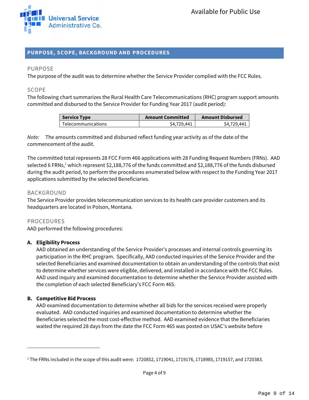

#### **PURPOSE, SCOPE, BACKGROUND AND PROCEDURES**

#### PURPOSE

The purpose of the audit was to determine whether the Service Provider complied with the FCC Rules.

#### SCOPE

The following chart summarizes the Rural Health Care Telecommunications (RHC) program support amounts committed and disbursed to the Service Provider for Funding Year 2017 (audit period):

| <b>Service Type</b>       | <b>Amount Committed</b> | <b>Amount Disbursed</b> |
|---------------------------|-------------------------|-------------------------|
| <b>Telecommunications</b> | \$4,729,441             | \$4.729.441             |

Note: The amounts committed and disbursed reflect funding year activity as of the date of the commencement of the audit.

The committed total represents 28 FCC Form 466 applications with 28 Funding Request Numbers (FRNs). AAD selected 6 FRNs,<sup>1</sup> which represent \$2,188,776 of the funds committed and \$2,188,776 of the funds disbursed during the audit period, to perform the procedures enumerated below with respect to the Funding Year 2017 applications submitted by the selected Beneficiaries.

#### BACKGROUND

The Service Provider provides telecommunication services to its health care provider customers and its headquarters are located in Polson, Montana.

#### PROCEDURES

AAD performed the following procedures:

#### **A. Eligibility Process**

AAD obtained an understanding of the Service Provider's processes and internal controls governing its participation in the RHC program. Specifically, AAD conducted inquiries of the Service Provider and the selected Beneficiaries and examined documentation to obtain an understanding of the controls that exist to determine whether services were eligible, delivered, and installed in accordance with the FCC Rules. AAD used inquiry and examined documentation to determine whether the Service Provider assisted with the completion of each selected Beneficiary's FCC Form 465.

#### **B. Competitive Bid Process**

AAD examined documentation to determine whether all bids for the services received were properly evaluated. AAD conducted inquiries and examined documentation to determine whether the Beneficiaries selected the most cost-effective method. AAD examined evidence that the Beneficiaries waited the required 28 days from the date the FCC Form 465 was posted on USAC's website before

<sup>1</sup> The FRNs included in the scope of this audit were: 1720852, 1719041, 1719176, 1718985, 1719157, and 1720383.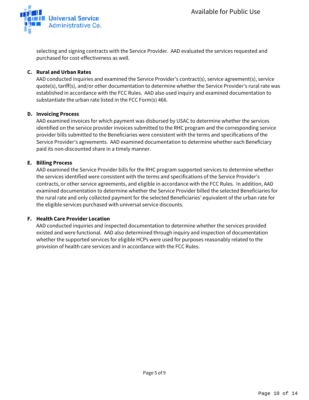

selecting and signing contracts with the Service Provider. AAD evaluated the services requested and purchased for cost-effectiveness as well.

#### **C. Rural and Urban Rates**

AAD conducted inquiries and examined the Service Provider's contract(s), service agreement(s), service quote(s), tariff(s), and/or other documentation to determine whether the Service Provider's rural rate was established in accordance with the FCC Rules. AAD also used inquiry and examined documentation to substantiate the urban rate listed in the FCC Form(s) 466.

#### **D. Invoicing Process**

AAD examined invoices for which payment was disbursed by USAC to determine whether the services identified on the service provider invoices submitted to the RHC program and the corresponding service provider bills submitted to the Beneficiaries were consistent with the terms and specifications of the Service Provider's agreements. AAD examined documentation to determine whether each Beneficiary paid its non-discounted share in a timely manner.

#### **E. Billing Process**

AAD examined the Service Provider bills for the RHC program supported services to determine whether the services identified were consistent with the terms and specifications of the Service Provider's contracts, or other service agreements, and eligible in accordance with the FCC Rules. In addition, AAD examined documentation to determine whether the Service Provider billed the selected Beneficiaries for the rural rate and only collected payment for the selected Beneficiaries' equivalent of the urban rate for the eligible services purchased with universal service discounts.

#### **F. Health Care Provider Location**

AAD conducted inquiries and inspected documentation to determine whether the services provided existed and were functional. AAD also determined through inquiry and inspection of documentation whether the supported services for eligible HCPs were used for purposes reasonably related to the provision of health care services and in accordance with the FCC Rules.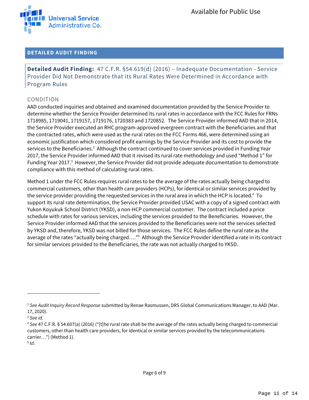

#### **DETAILED AUDIT FINDING**

**Detailed Audit Finding:** 47 C.F.R. §54.619(d) (2016) – Inadequate Documentation - Service Provider Did Not Demonstrate that its Rural Rates Were Determined in Accordance with Program Rules

#### CONDITION

AAD conducted inquiries and obtained and examined documentation provided by the Service Provider to determine whether the Service Provider determined its rural rates in accordance with the FCC Rules for FRNs 1718985, 1719041, 1719157, 1719176, 1720383 and 1720852. The Service Provider informed AAD that in 2014, the Service Provider executed an RHC program-approved evergreen contract with the Beneficiaries and that the contracted rates, which were used as the rural rates on the FCC Forms 466, were determined using an economic justification which considered profit earnings by the Service Provider and its cost to provide the services to the Beneficiaries.<sup>2</sup> Although the contract continued to cover services provided in Funding Year 2017, the Service Provider informed AAD that it revised its rural rate methodology and used "Method 1" for Funding Year 2017.<sup>3</sup> However, the Service Provider did not provide adequate documentation to demonstrate compliance with this method of calculating rural rates.

Method 1 under the FCC Rules requires rural rates to be the average of the rates actually being charged to commercial customers, other than health care providers (HCPs), for identical or similar services provided by the service provider providing the requested services in the rural area in which the HCP is located.4 To support its rural rate determination, the Service Provider provided USAC with a copy of a signed contract with Yukon Koyukuk School District (YKSD), a non-HCP commercial customer. The contract included a price schedule with rates for various services, including the services provided to the Beneficiaries. However, the Service Provider informed AAD that the services provided to the Beneficiaries were not the services selected by YKSD and, therefore, YKSD was not billed for those services. The FCC Rules define the rural rate as the average of the rates "actually being charged...."<sup>5</sup> Although the Service Provider identified a rate in its contract for similar services provided to the Beneficiaries, the rate was not actually charged to YKSD.

<sup>&</sup>lt;sup>2</sup> See Audit Inquiry Record Response submitted by Renae Rasmussen, DRS Global Communications Manager, to AAD (Mar. 17, 2020).

<sup>&</sup>lt;sup>3</sup> See id.<br><sup>4</sup> See 47 C.F.R. § 54.607(a) (2016) ("[t]he rural rate shall be the average of the rates actually being charged to commercial customers, other than health care providers, for identical or similar services provided by the telecommunications carrier…") (Method 1).

 $5$  Id.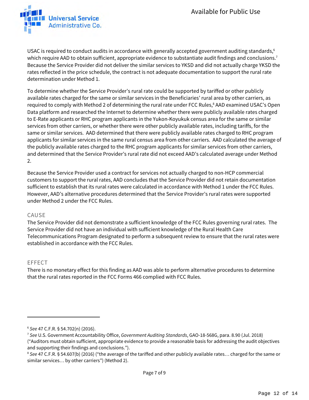

USAC is required to conduct audits in accordance with generally accepted government auditing standards, $6$ which require AAD to obtain sufficient, appropriate evidence to substantiate audit findings and conclusions. $^7$ Because the Service Provider did not deliver the similar services to YKSD and did not actually charge YKSD the rates reflected in the price schedule, the contract is not adequate documentation to support the rural rate determination under Method 1.

To determine whether the Service Provider's rural rate could be supported by tariffed or other publicly available rates charged for the same or similar services in the Beneficiaries' rural area by other carriers, as required to comply with Method 2 of determining the rural rate under FCC Rules,<sup>8</sup> AAD examined USAC's Open Data platform and researched the Internet to determine whether there were publicly available rates charged to E-Rate applicants or RHC program applicants in the Yukon-Koyukuk census area for the same or similar services from other carriers, or whether there were other publicly available rates, including tariffs, for the same or similar services. AAD determined that there were publicly available rates charged to RHC program applicants for similar services in the same rural census area from other carriers. AAD calculated the average of the publicly available rates charged to the RHC program applicants for similar services from other carriers, and determined that the Service Provider's rural rate did not exceed AAD's calculated average under Method 2.

Because the Service Provider used a contract for services not actually charged to non-HCP commercial customers to support the rural rates, AAD concludes that the Service Provider did not retain documentation sufficient to establish that its rural rates were calculated in accordance with Method 1 under the FCC Rules. However, AAD's alternative procedures determined that the Service Provider's rural rates were supported under Method 2 under the FCC Rules.

#### CAUSE

The Service Provider did not demonstrate a sufficient knowledge of the FCC Rules governing rural rates. The Service Provider did not have an individual with sufficient knowledge of the Rural Health Care Telecommunications Program designated to perform a subsequent review to ensure that the rural rates were established in accordance with the FCC Rules.

#### EFFECT

There is no monetary effect for this finding as AAD was able to perform alternative procedures to determine that the rural rates reported in the FCC Forms 466 complied with FCC Rules.

<sup>&</sup>lt;sup>6</sup> See 47 C.F.R. § 54.702(n) (2016).<br><sup>7</sup> See U.S. Government Accountability Office, Government Auditing Standards, GAO-18-568G, para. 8.90 (Jul. 2018) ("Auditors must obtain sufficient, appropriate evidence to provide a reasonable basis for addressing the audit objectives and supporting their findings and conclusions.").

<sup>&</sup>lt;sup>8</sup> See 47 C.F.R. § 54.607(b) (2016) ("the average of the tariffed and other publicly available rates... charged for the same or similar services… by other carriers") (Method 2).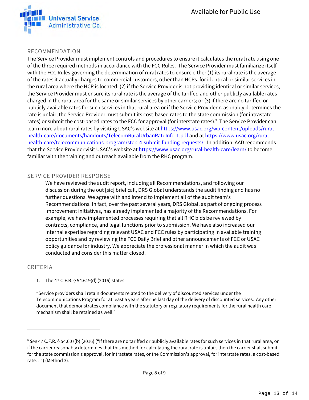

#### RECOMMENDATION

The Service Provider must implement controls and procedures to ensure it calculates the rural rate using one of the three required methods in accordance with the FCC Rules. The Service Provider must familiarize itself with the FCC Rules governing the determination of rural rates to ensure either (1) its rural rate is the average of the rates it actually charges to commercial customers, other than HCPs, for identical or similar services in the rural area where the HCP is located; (2) if the Service Provider is not providing identical or similar services, the Service Provider must ensure its rural rate is the average of the tariffed and other publicly available rates charged in the rural area for the same or similar services by other carriers; or (3) if there are no tariffed or publicly available rates for such services in that rural area or if the Service Provider reasonably determines the rate is unfair, the Service Provider must submit its cost-based rates to the state commission (for intrastate rates) or submit the cost-based rates to the FCC for approval (for interstate rates).<sup>9</sup> The Service Provider can learn more about rural rates by visiting USAC's website at https://www.usac.org/wp-content/uploads/ruralhealth-care/documents/handouts/TelecomRuralUrbanRateInfo-1.pdf and at https://www.usac.org/ruralhealth-care/telecommunications-program/step-4-submit-funding-requests/. In addition, AAD recommends that the Service Provider visit USAC's website at https://www.usac.org/rural-health-care/learn/ to become familiar with the training and outreach available from the RHC program.

#### SERVICE PROVIDER RESPONSE

We have reviewed the audit report, including all Recommendations, and following our discussion during the out [sic] brief call, DRS Global understands the audit finding and has no further questions. We agree with and intend to implement all of the audit team's Recommendations. In fact, over the past several years, DRS Global, as part of ongoing process improvement initiatives, has already implemented a majority of the Recommendations. For example, we have implemented processes requiring that all RHC bids be reviewed by contracts, compliance, and legal functions prior to submission. We have also increased our internal expertise regarding relevant USAC and FCC rules by participating in available training opportunities and by reviewing the FCC Daily Brief and other announcements of FCC or USAC policy guidance for industry. We appreciate the professional manner in which the audit was conducted and consider this matter closed.

#### CRITERIA

1. The 47 C.F.R. § 54.619(d) (2016) states:

"Service providers shall retain documents related to the delivery of discounted services under the Telecommunications Program for at least 5 years after he last day of the delivery of discounted services. Any other document that demonstrates compliance with the statutory or regulatory requirements for the rural health care mechanism shall be retained as well."

<sup>9</sup> See 47 C.F.R. § 54.607(b) (2016) ("If there are no tariffed or publicly available rates for such services in that rural area, or if the carrier reasonably determines that this method for calculating the rural rate is unfair, then the carrier shall submit for the state commission's approval, for intrastate rates, or the Commission's approval, for interstate rates, a cost-based rate…") (Method 3).